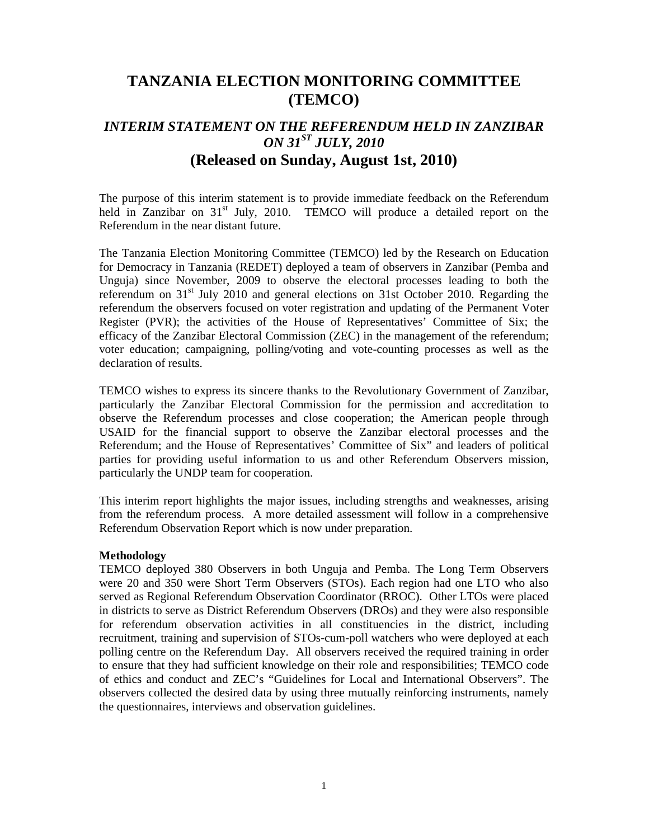## **TANZANIA ELECTION MONITORING COMMITTEE (TEMCO)**

# *INTERIM STATEMENT ON THE REFERENDUM HELD IN ZANZIBAR ON 31ST JULY, 2010*  **(Released on Sunday, August 1st, 2010)**

The purpose of this interim statement is to provide immediate feedback on the Referendum held in Zanzibar on  $31<sup>st</sup>$  July, 2010. TEMCO will produce a detailed report on the Referendum in the near distant future.

The Tanzania Election Monitoring Committee (TEMCO) led by the Research on Education for Democracy in Tanzania (REDET) deployed a team of observers in Zanzibar (Pemba and Unguja) since November, 2009 to observe the electoral processes leading to both the referendum on  $31<sup>st</sup>$  July 2010 and general elections on 31st October 2010. Regarding the referendum the observers focused on voter registration and updating of the Permanent Voter Register (PVR); the activities of the House of Representatives' Committee of Six; the efficacy of the Zanzibar Electoral Commission (ZEC) in the management of the referendum; voter education; campaigning, polling/voting and vote-counting processes as well as the declaration of results.

TEMCO wishes to express its sincere thanks to the Revolutionary Government of Zanzibar, particularly the Zanzibar Electoral Commission for the permission and accreditation to observe the Referendum processes and close cooperation; the American people through USAID for the financial support to observe the Zanzibar electoral processes and the Referendum; and the House of Representatives' Committee of Six" and leaders of political parties for providing useful information to us and other Referendum Observers mission, particularly the UNDP team for cooperation.

This interim report highlights the major issues, including strengths and weaknesses, arising from the referendum process. A more detailed assessment will follow in a comprehensive Referendum Observation Report which is now under preparation.

#### **Methodology**

TEMCO deployed 380 Observers in both Unguja and Pemba. The Long Term Observers were 20 and 350 were Short Term Observers (STOs). Each region had one LTO who also served as Regional Referendum Observation Coordinator (RROC). Other LTOs were placed in districts to serve as District Referendum Observers (DROs) and they were also responsible for referendum observation activities in all constituencies in the district, including recruitment, training and supervision of STOs-cum-poll watchers who were deployed at each polling centre on the Referendum Day. All observers received the required training in order to ensure that they had sufficient knowledge on their role and responsibilities; TEMCO code of ethics and conduct and ZEC's "Guidelines for Local and International Observers". The observers collected the desired data by using three mutually reinforcing instruments, namely the questionnaires, interviews and observation guidelines.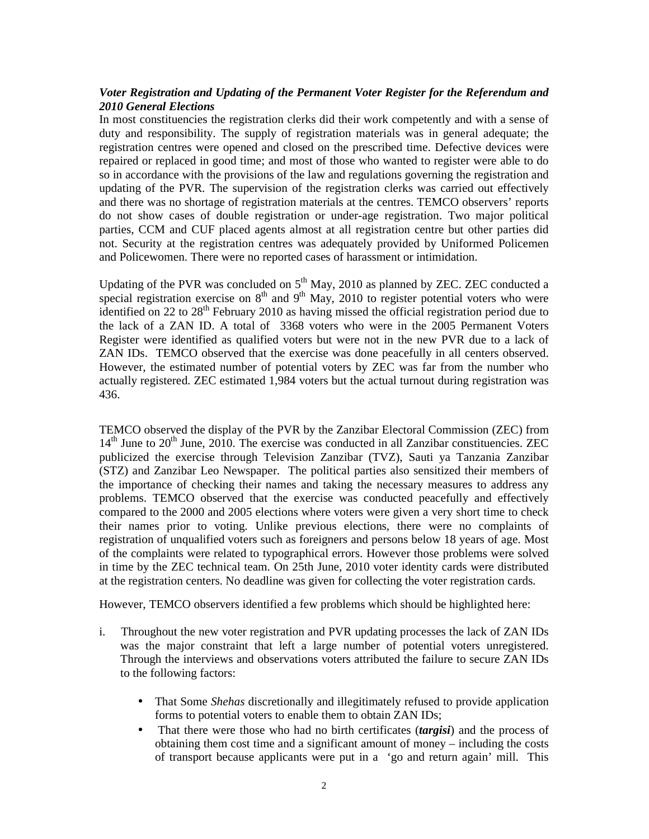## *Voter Registration and Updating of the Permanent Voter Register for the Referendum and 2010 General Elections*

In most constituencies the registration clerks did their work competently and with a sense of duty and responsibility. The supply of registration materials was in general adequate; the registration centres were opened and closed on the prescribed time. Defective devices were repaired or replaced in good time; and most of those who wanted to register were able to do so in accordance with the provisions of the law and regulations governing the registration and updating of the PVR. The supervision of the registration clerks was carried out effectively and there was no shortage of registration materials at the centres. TEMCO observers' reports do not show cases of double registration or under-age registration. Two major political parties, CCM and CUF placed agents almost at all registration centre but other parties did not. Security at the registration centres was adequately provided by Uniformed Policemen and Policewomen. There were no reported cases of harassment or intimidation.

Updating of the PVR was concluded on  $5<sup>th</sup>$  May, 2010 as planned by ZEC. ZEC conducted a special registration exercise on  $8<sup>th</sup>$  and  $9<sup>th</sup>$  May, 2010 to register potential voters who were identified on 22 to  $28<sup>th</sup>$  February 2010 as having missed the official registration period due to the lack of a ZAN ID. A total of 3368 voters who were in the 2005 Permanent Voters Register were identified as qualified voters but were not in the new PVR due to a lack of ZAN IDs. TEMCO observed that the exercise was done peacefully in all centers observed. However, the estimated number of potential voters by ZEC was far from the number who actually registered. ZEC estimated 1,984 voters but the actual turnout during registration was 436.

TEMCO observed the display of the PVR by the Zanzibar Electoral Commission (ZEC) from  $14<sup>th</sup>$  June to  $20<sup>th</sup>$  June, 2010. The exercise was conducted in all Zanzibar constituencies. ZEC publicized the exercise through Television Zanzibar (TVZ), Sauti ya Tanzania Zanzibar (STZ) and Zanzibar Leo Newspaper. The political parties also sensitized their members of the importance of checking their names and taking the necessary measures to address any problems. TEMCO observed that the exercise was conducted peacefully and effectively compared to the 2000 and 2005 elections where voters were given a very short time to check their names prior to voting. Unlike previous elections, there were no complaints of registration of unqualified voters such as foreigners and persons below 18 years of age. Most of the complaints were related to typographical errors. However those problems were solved in time by the ZEC technical team. On 25th June, 2010 voter identity cards were distributed at the registration centers. No deadline was given for collecting the voter registration cards.

However, TEMCO observers identified a few problems which should be highlighted here:

- i. Throughout the new voter registration and PVR updating processes the lack of ZAN IDs was the major constraint that left a large number of potential voters unregistered. Through the interviews and observations voters attributed the failure to secure ZAN IDs to the following factors:
	- That Some *Shehas* discretionally and illegitimately refused to provide application forms to potential voters to enable them to obtain ZAN IDs;
	- That there were those who had no birth certificates (*targisi*) and the process of obtaining them cost time and a significant amount of money – including the costs of transport because applicants were put in a 'go and return again' mill. This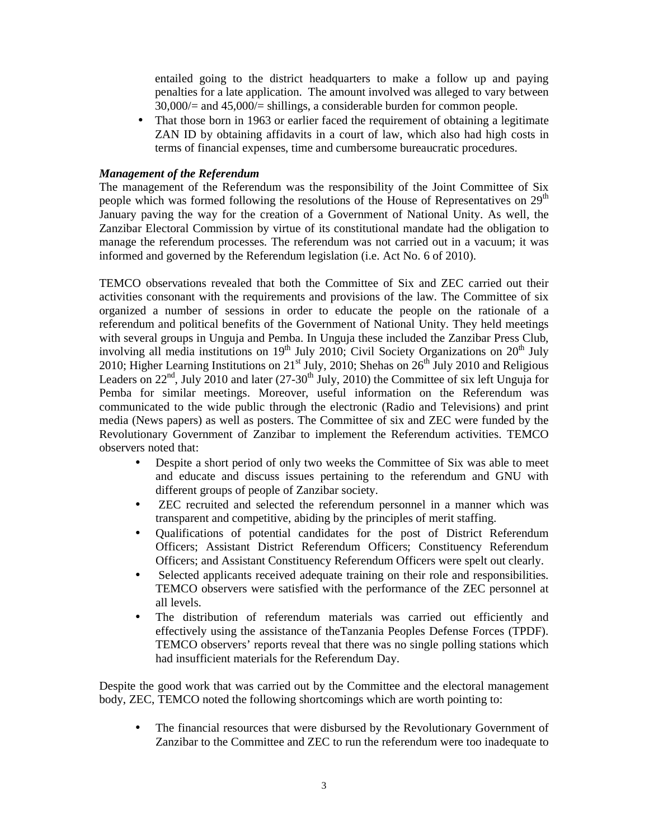entailed going to the district headquarters to make a follow up and paying penalties for a late application. The amount involved was alleged to vary between 30,000/= and 45,000/= shillings, a considerable burden for common people.

That those born in 1963 or earlier faced the requirement of obtaining a legitimate ZAN ID by obtaining affidavits in a court of law, which also had high costs in terms of financial expenses, time and cumbersome bureaucratic procedures.

#### *Management of the Referendum*

The management of the Referendum was the responsibility of the Joint Committee of Six people which was formed following the resolutions of the House of Representatives on  $29<sup>th</sup>$ January paving the way for the creation of a Government of National Unity. As well, the Zanzibar Electoral Commission by virtue of its constitutional mandate had the obligation to manage the referendum processes. The referendum was not carried out in a vacuum; it was informed and governed by the Referendum legislation (i.e. Act No. 6 of 2010).

TEMCO observations revealed that both the Committee of Six and ZEC carried out their activities consonant with the requirements and provisions of the law. The Committee of six organized a number of sessions in order to educate the people on the rationale of a referendum and political benefits of the Government of National Unity. They held meetings with several groups in Unguja and Pemba. In Unguja these included the Zanzibar Press Club, involving all media institutions on  $19<sup>th</sup>$  July 2010; Civil Society Organizations on  $20<sup>th</sup>$  July 2010; Higher Learning Institutions on  $21^{st}$  July, 2010; Shehas on  $26^{th}$  July 2010 and Religious Leaders on  $22<sup>nd</sup>$ , July 2010 and later (27-30<sup>th</sup> July, 2010) the Committee of six left Unguja for Pemba for similar meetings. Moreover, useful information on the Referendum was communicated to the wide public through the electronic (Radio and Televisions) and print media (News papers) as well as posters. The Committee of six and ZEC were funded by the Revolutionary Government of Zanzibar to implement the Referendum activities. TEMCO observers noted that:

- Despite a short period of only two weeks the Committee of Six was able to meet and educate and discuss issues pertaining to the referendum and GNU with different groups of people of Zanzibar society.
- ZEC recruited and selected the referendum personnel in a manner which was transparent and competitive, abiding by the principles of merit staffing.
- Qualifications of potential candidates for the post of District Referendum Officers; Assistant District Referendum Officers; Constituency Referendum Officers; and Assistant Constituency Referendum Officers were spelt out clearly.
- Selected applicants received adequate training on their role and responsibilities. TEMCO observers were satisfied with the performance of the ZEC personnel at all levels.
- The distribution of referendum materials was carried out efficiently and effectively using the assistance of theTanzania Peoples Defense Forces (TPDF). TEMCO observers' reports reveal that there was no single polling stations which had insufficient materials for the Referendum Day.

Despite the good work that was carried out by the Committee and the electoral management body, ZEC, TEMCO noted the following shortcomings which are worth pointing to:

• The financial resources that were disbursed by the Revolutionary Government of Zanzibar to the Committee and ZEC to run the referendum were too inadequate to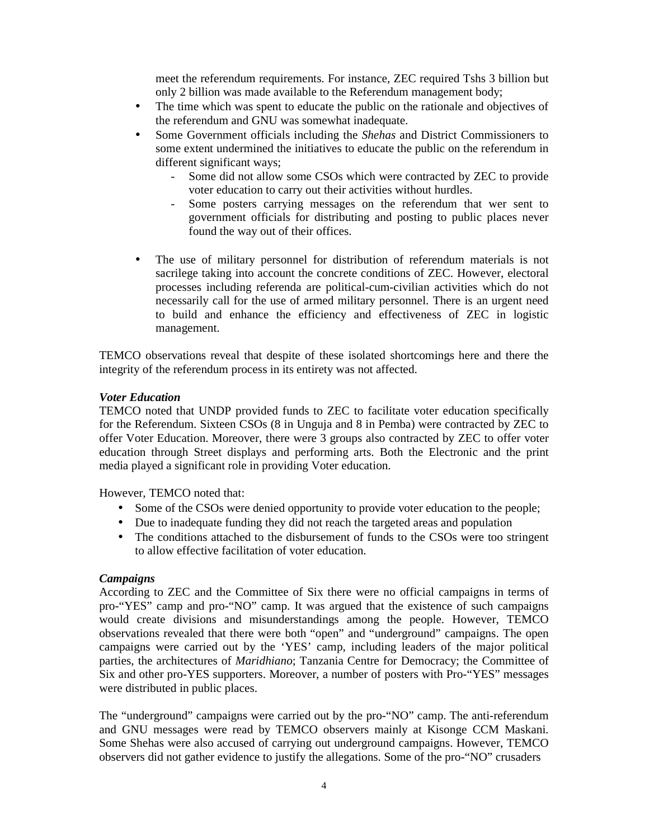meet the referendum requirements. For instance, ZEC required Tshs 3 billion but only 2 billion was made available to the Referendum management body;

- The time which was spent to educate the public on the rationale and objectives of the referendum and GNU was somewhat inadequate.
- Some Government officials including the *Shehas* and District Commissioners to some extent undermined the initiatives to educate the public on the referendum in different significant ways;
	- Some did not allow some CSOs which were contracted by ZEC to provide voter education to carry out their activities without hurdles.
	- Some posters carrying messages on the referendum that wer sent to government officials for distributing and posting to public places never found the way out of their offices.
- The use of military personnel for distribution of referendum materials is not sacrilege taking into account the concrete conditions of ZEC. However, electoral processes including referenda are political-cum-civilian activities which do not necessarily call for the use of armed military personnel. There is an urgent need to build and enhance the efficiency and effectiveness of ZEC in logistic management.

TEMCO observations reveal that despite of these isolated shortcomings here and there the integrity of the referendum process in its entirety was not affected.

#### *Voter Education*

TEMCO noted that UNDP provided funds to ZEC to facilitate voter education specifically for the Referendum. Sixteen CSOs (8 in Unguja and 8 in Pemba) were contracted by ZEC to offer Voter Education. Moreover, there were 3 groups also contracted by ZEC to offer voter education through Street displays and performing arts. Both the Electronic and the print media played a significant role in providing Voter education.

However, TEMCO noted that:

- Some of the CSOs were denied opportunity to provide voter education to the people;
- Due to inadequate funding they did not reach the targeted areas and population
- The conditions attached to the disbursement of funds to the CSOs were too stringent to allow effective facilitation of voter education.

### *Campaigns*

According to ZEC and the Committee of Six there were no official campaigns in terms of pro-"YES" camp and pro-"NO" camp. It was argued that the existence of such campaigns would create divisions and misunderstandings among the people. However, TEMCO observations revealed that there were both "open" and "underground" campaigns. The open campaigns were carried out by the 'YES' camp, including leaders of the major political parties, the architectures of *Maridhiano*; Tanzania Centre for Democracy; the Committee of Six and other pro-YES supporters. Moreover, a number of posters with Pro-"YES" messages were distributed in public places.

The "underground" campaigns were carried out by the pro-"NO" camp. The anti-referendum and GNU messages were read by TEMCO observers mainly at Kisonge CCM Maskani. Some Shehas were also accused of carrying out underground campaigns. However, TEMCO observers did not gather evidence to justify the allegations. Some of the pro-"NO" crusaders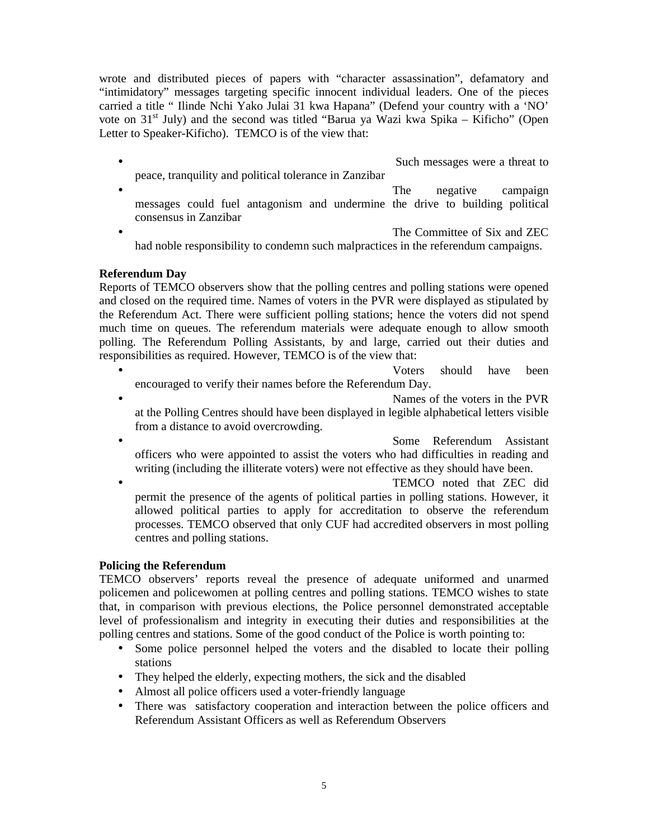wrote and distributed pieces of papers with "character assassination", defamatory and "intimidatory" messages targeting specific innocent individual leaders. One of the pieces carried a title " Ilinde Nchi Yako Julai 31 kwa Hapana" (Defend your country with a 'NO' vote on  $31<sup>st</sup>$  July) and the second was titled "Barua ya Wazi kwa Spika – Kificho" (Open Letter to Speaker-Kificho). TEMCO is of the view that:

- Such messages were a threat to peace, tranquility and political tolerance in Zanzibar
- The negative campaign messages could fuel antagonism and undermine the drive to building political consensus in Zanzibar

The Committee of Six and ZEC had noble responsibility to condemn such malpractices in the referendum campaigns.

## **Referendum Day**

Reports of TEMCO observers show that the polling centres and polling stations were opened and closed on the required time. Names of voters in the PVR were displayed as stipulated by the Referendum Act. There were sufficient polling stations; hence the voters did not spend much time on queues. The referendum materials were adequate enough to allow smooth polling. The Referendum Polling Assistants, by and large, carried out their duties and responsibilities as required. However, TEMCO is of the view that:

• Voters should have been encouraged to verify their names before the Referendum Day.

- Names of the voters in the PVR at the Polling Centres should have been displayed in legible alphabetical letters visible from a distance to avoid overcrowding.
- Some Referendum Assistant officers who were appointed to assist the voters who had difficulties in reading and writing (including the illiterate voters) were not effective as they should have been.
- TEMCO noted that ZEC did permit the presence of the agents of political parties in polling stations. However, it allowed political parties to apply for accreditation to observe the referendum processes. TEMCO observed that only CUF had accredited observers in most polling centres and polling stations.

### **Policing the Referendum**

TEMCO observers' reports reveal the presence of adequate uniformed and unarmed policemen and policewomen at polling centres and polling stations. TEMCO wishes to state that, in comparison with previous elections, the Police personnel demonstrated acceptable level of professionalism and integrity in executing their duties and responsibilities at the polling centres and stations. Some of the good conduct of the Police is worth pointing to:

- Some police personnel helped the voters and the disabled to locate their polling stations
- They helped the elderly, expecting mothers, the sick and the disabled
- Almost all police officers used a voter-friendly language
- There was satisfactory cooperation and interaction between the police officers and Referendum Assistant Officers as well as Referendum Observers